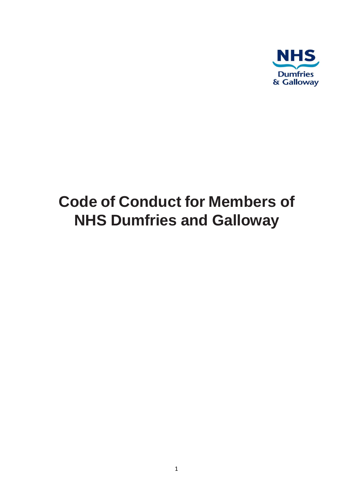

# **Code of Conduct for Members of NHS Dumfries and Galloway**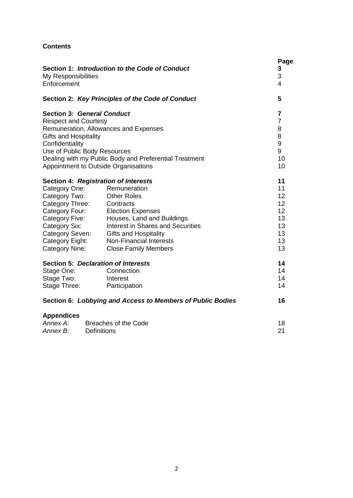# **Contents**

| Section 1: Introduction to the Code of Conduct<br>My Responsibilities<br>Enforcement |                                                        | Page<br>3<br>3<br>4 |
|--------------------------------------------------------------------------------------|--------------------------------------------------------|---------------------|
|                                                                                      | Section 2: Key Principles of the Code of Conduct       | 5                   |
| <b>Section 3: General Conduct</b>                                                    |                                                        | $\overline{7}$      |
| <b>Respect and Courtesy</b>                                                          |                                                        | $\overline{7}$      |
|                                                                                      | Remuneration, Allowances and Expenses                  | 8                   |
| <b>Gifts and Hospitality</b>                                                         |                                                        | 8                   |
| Confidentiality                                                                      |                                                        | 9                   |
| Use of Public Body Resources                                                         |                                                        | 9                   |
|                                                                                      | Dealing with my Public Body and Preferential Treatment | 10                  |
| Appointment to Outside Organisations                                                 |                                                        | 10                  |
| Section 4: Registration of Interests                                                 |                                                        | 11                  |
| Category One:                                                                        | Remuneration                                           | 11                  |
| Category Two:                                                                        | <b>Other Roles</b>                                     | 12                  |
| Category Three:                                                                      | Contracts                                              | 12                  |
| Category Four:                                                                       | <b>Election Expenses</b>                               | 12                  |
| Category Five:                                                                       | Houses, Land and Buildings                             | 13                  |
| Category Six:                                                                        | Interest in Shares and Securities                      | 13                  |
| Category Seven:                                                                      | <b>Gifts and Hospitality</b>                           | 13                  |
| Category Eight:                                                                      | <b>Non-Financial Interests</b>                         | 13                  |
| <b>Category Nine:</b>                                                                | <b>Close Family Members</b>                            | 13                  |
| Section 5: Declaration of Interests                                                  |                                                        | 14                  |
| Stage One:                                                                           | Connection                                             | 14                  |
| Stage Two:                                                                           | Interest                                               | 14                  |
| Stage Three:                                                                         | Participation                                          | 14                  |
| Section 6: Lobbying and Access to Members of Public Bodies                           |                                                        | 16                  |
| <b>Appendices</b>                                                                    |                                                        |                     |
| Annex A:                                                                             | Breaches of the Code                                   | 18                  |
| <b>Definitions</b><br>Annex B:                                                       |                                                        | 21                  |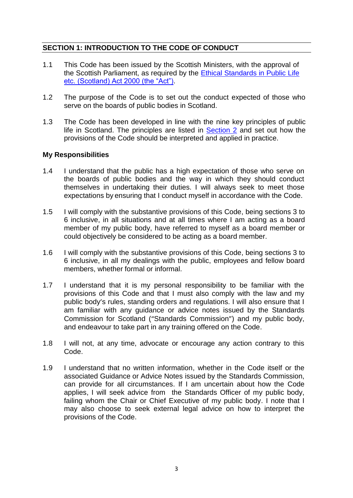# **SECTION 1: INTRODUCTION TO THE CODE OF CONDUCT**

- 1.1 This Code has been issued by the Scottish Ministers, with the approval of the Scottish Parliament, as required by the [Ethical Standards in Public Life](https://www.legislation.gov.uk/asp/2000/7/contents)  [etc. \(Scotland\) Act 2000 \(the "Act"\).](https://www.legislation.gov.uk/asp/2000/7/contents)
- 1.2 The purpose of the Code is to set out the conduct expected of those who serve on the boards of public bodies in Scotland.
- 1.3 The Code has been developed in line with the nine key principles of public life in Scotland. The principles are listed in [Section 2](#page-4-0) and set out how the provisions of the Code should be interpreted and applied in practice.

## **My Responsibilities**

- 1.4 I understand that the public has a high expectation of those who serve on the boards of public bodies and the way in which they should conduct themselves in undertaking their duties. I will always seek to meet those expectations by ensuring that I conduct myself in accordance with the Code.
- 1.5 I will comply with the substantive provisions of this Code, being sections 3 to 6 inclusive, in all situations and at all times where I am acting as a board member of my public body, have referred to myself as a board member or could objectively be considered to be acting as a board member.
- 1.6 I will comply with the substantive provisions of this Code, being sections 3 to 6 inclusive, in all my dealings with the public, employees and fellow board members, whether formal or informal.
- 1.7 I understand that it is my personal responsibility to be familiar with the provisions of this Code and that I must also comply with the law and my public body's rules, standing orders and regulations. I will also ensure that I am familiar with any guidance or advice notes issued by the Standards Commission for Scotland ("Standards Commission") and my public body, and endeavour to take part in any training offered on the Code.
- 1.8 I will not, at any time, advocate or encourage any action contrary to this Code.
- 1.9 I understand that no written information, whether in the Code itself or the associated Guidance or Advice Notes issued by the Standards Commission, can provide for all circumstances. If I am uncertain about how the Code applies, I will seek advice from the Standards Officer of my public body, failing whom the Chair or Chief Executive of my public body. I note that I may also choose to seek external legal advice on how to interpret the provisions of the Code.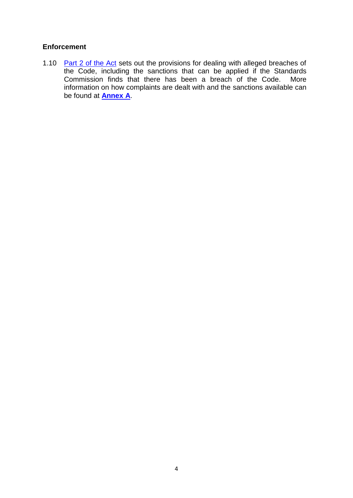# **Enforcement**

1.10 [Part 2 of the Act](https://www.legislation.gov.uk/asp/2000/7/contents) sets out the provisions for dealing with alleged breaches of the Code, including the sanctions that can be applied if the Standards<br>Commission finds that there has been a breach of the Code. More Commission finds that there has been a breach of the Code. information on how complaints are dealt with and the sanctions available can be found at **[Annex A](#page-16-0)**.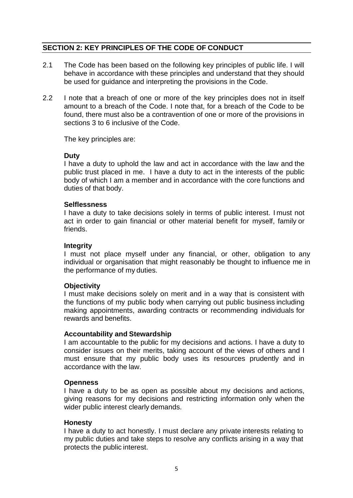# <span id="page-4-0"></span>**SECTION 2: KEY PRINCIPLES OF THE CODE OF CONDUCT**

- 2.1 The Code has been based on the following key principles of public life. I will behave in accordance with these principles and understand that they should be used for guidance and interpreting the provisions in the Code.
- 2.2 I note that a breach of one or more of the key principles does not in itself amount to a breach of the Code. I note that, for a breach of the Code to be found, there must also be a contravention of one or more of the provisions in sections 3 to 6 inclusive of the Code.

The key principles are:

## **Duty**

I have a duty to uphold the law and act in accordance with the law and the public trust placed in me. I have a duty to act in the interests of the public body of which I am a member and in accordance with the core functions and duties of that body.

#### **Selflessness**

I have a duty to take decisions solely in terms of public interest. I must not act in order to gain financial or other material benefit for myself, family or friends.

#### **Integrity**

I must not place myself under any financial, or other, obligation to any individual or organisation that might reasonably be thought to influence me in the performance of my duties.

## **Objectivity**

I must make decisions solely on merit and in a way that is consistent with the functions of my public body when carrying out public business including making appointments, awarding contracts or recommending individuals for rewards and benefits.

#### **Accountability and Stewardship**

I am accountable to the public for my decisions and actions. I have a duty to consider issues on their merits, taking account of the views of others and I must ensure that my public body uses its resources prudently and in accordance with the law.

#### **Openness**

I have a duty to be as open as possible about my decisions and actions, giving reasons for my decisions and restricting information only when the wider public interest clearly demands.

#### **Honesty**

I have a duty to act honestly. I must declare any private interests relating to my public duties and take steps to resolve any conflicts arising in a way that protects the public interest.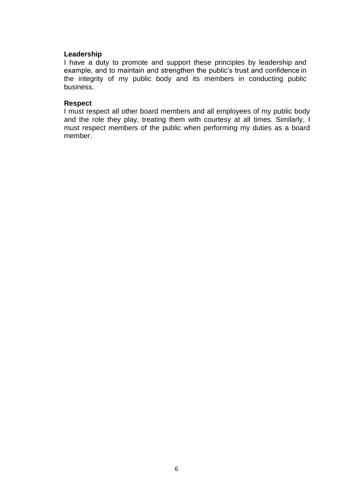#### **Leadership**

I have a duty to promote and support these principles by leadership and example, and to maintain and strengthen the public's trust and confidence in the integrity of my public body and its members in conducting public business.

#### **Respect**

I must respect all other board members and all employees of my public body and the role they play, treating them with courtesy at all times. Similarly, I must respect members of the public when performing my duties as a board member.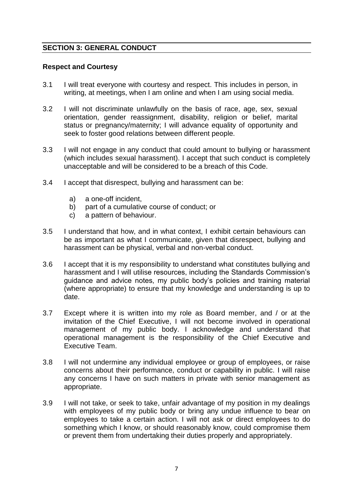# **SECTION 3: GENERAL CONDUCT**

#### **Respect and Courtesy**

- 3.1 I will treat everyone with courtesy and respect. This includes in person, in writing, at meetings, when I am online and when I am using social media.
- 3.2 I will not discriminate unlawfully on the basis of race, age, sex, sexual orientation, gender reassignment, disability, religion or belief, marital status or pregnancy/maternity; I will advance equality of opportunity and seek to foster good relations between different people.
- 3.3 I will not engage in any conduct that could amount to bullying or harassment (which includes sexual harassment). I accept that such conduct is completely unacceptable and will be considered to be a breach of this Code.
- 3.4 I accept that disrespect, bullying and harassment can be:
	- a) a one-off incident,
	- b) part of a cumulative course of conduct; or
	- c) a pattern of behaviour.
- 3.5 I understand that how, and in what context, I exhibit certain behaviours can be as important as what I communicate, given that disrespect, bullying and harassment can be physical, verbal and non-verbal conduct.
- 3.6 I accept that it is my responsibility to understand what constitutes bullying and harassment and I will utilise resources, including the Standards Commission's guidance and advice notes, my public body's policies and training material (where appropriate) to ensure that my knowledge and understanding is up to date.
- 3.7 Except where it is written into my role as Board member, and / or at the invitation of the Chief Executive, I will not become involved in operational management of my public body. I acknowledge and understand that operational management is the responsibility of the Chief Executive and Executive Team.
- 3.8 I will not undermine any individual employee or group of employees, or raise concerns about their performance, conduct or capability in public. I will raise any concerns I have on such matters in private with senior management as appropriate.
- 3.9 I will not take, or seek to take, unfair advantage of my position in my dealings with employees of my public body or bring any undue influence to bear on employees to take a certain action. I will not ask or direct employees to do something which I know, or should reasonably know, could compromise them or prevent them from undertaking their duties properly and appropriately.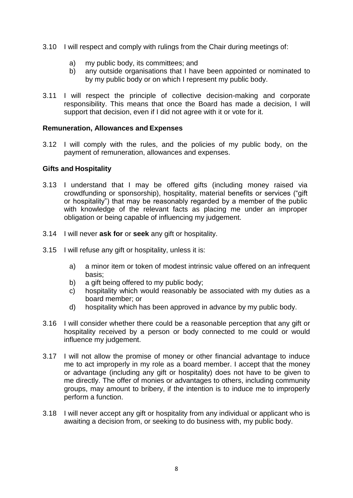- 3.10 I will respect and comply with rulings from the Chair during meetings of:
	- a) my public body, its committees; and
	- b) any outside organisations that I have been appointed or nominated to by my public body or on which I represent my public body.
- 3.11 I will respect the principle of collective decision-making and corporate responsibility. This means that once the Board has made a decision, I will support that decision, even if I did not agree with it or vote for it.

#### **Remuneration, Allowances and Expenses**

3.12 I will comply with the rules, and the policies of my public body, on the payment of remuneration, allowances and expenses.

## **Gifts and Hospitality**

- <span id="page-7-0"></span>3.13 I understand that I may be offered gifts (including money raised via crowdfunding or sponsorship), hospitality, material benefits or services ("gift or hospitality") that may be reasonably regarded by a member of the public with knowledge of the relevant facts as placing me under an improper obligation or being capable of influencing my judgement.
- 3.14 I will never **ask for** or **seek** any gift or hospitality.
- 3.15 I will refuse any gift or hospitality, unless it is:
	- a) a minor item or token of modest intrinsic value offered on an infrequent basis;
	- b) a gift being offered to my public body;
	- c) hospitality which would reasonably be associated with my duties as a board member; or
	- d) hospitality which has been approved in advance by my public body.
- 3.16 I will consider whether there could be a reasonable perception that any gift or hospitality received by a person or body connected to me could or would influence my judgement.
- 3.17 I will not allow the promise of money or other financial advantage to induce me to act improperly in my role as a board member. I accept that the money or advantage (including any gift or hospitality) does not have to be given to me directly. The offer of monies or advantages to others, including community groups, may amount to bribery, if the intention is to induce me to improperly perform a function.
- 3.18 I will never accept any gift or hospitality from any individual or applicant who is awaiting a decision from, or seeking to do business with, my public body.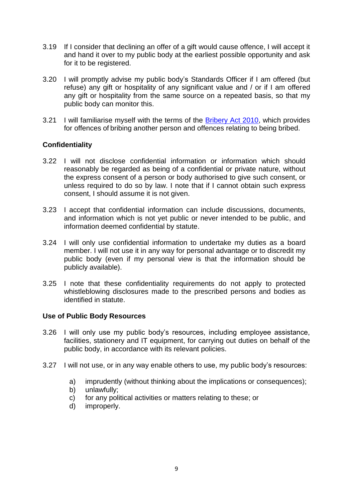- 3.19 If I consider that declining an offer of a gift would cause offence, I will accept it and hand it over to my public body at the earliest possible opportunity and ask for it to be registered.
- 3.20 I will promptly advise my public body's Standards Officer if I am offered (but refuse) any gift or hospitality of any significant value and / or if I am offered any gift or hospitality from the same source on a repeated basis, so that my public body can monitor this.
- 3.21 I will familiarise myself with the terms of the [Bribery Act 2010,](https://www.legislation.gov.uk/ukpga/2010/23/contents) which provides for offences of bribing another person and offences relating to being bribed.

# **Confidentiality**

- 3.22 I will not disclose confidential information or information which should reasonably be regarded as being of a confidential or private nature, without the express consent of a person or body authorised to give such consent, or unless required to do so by law. I note that if I cannot obtain such express consent, I should assume it is not given.
- 3.23 I accept that confidential information can include discussions, documents, and information which is not yet public or never intended to be public, and information deemed confidential by statute.
- 3.24 I will only use confidential information to undertake my duties as a board member. I will not use it in any way for personal advantage or to discredit my public body (even if my personal view is that the information should be publicly available).
- 3.25 I note that these confidentiality requirements do not apply to protected whistleblowing disclosures made to the prescribed persons and bodies as identified in statute.

## **Use of Public Body Resources**

- 3.26 I will only use my public body's resources, including employee assistance, facilities, stationery and IT equipment, for carrying out duties on behalf of the public body, in accordance with its relevant policies.
- 3.27 I will not use, or in any way enable others to use, my public body's resources:
	- a) imprudently (without thinking about the implications or consequences);
	- b) unlawfully;
	- c) for any political activities or matters relating to these; or
	- d) improperly.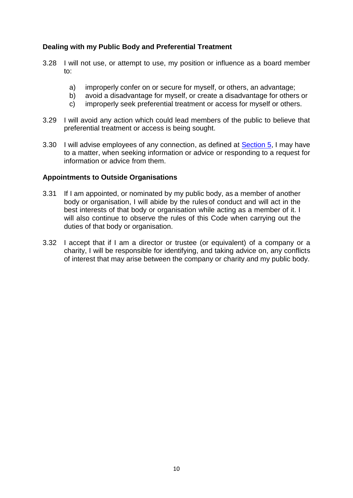# **Dealing with my Public Body and Preferential Treatment**

- 3.28 I will not use, or attempt to use, my position or influence as a board member to:
	- a) improperly confer on or secure for myself, or others, an advantage;
	- b) avoid a disadvantage for myself, or create a disadvantage for others or
	- c) improperly seek preferential treatment or access for myself or others.
- 3.29 I will avoid any action which could lead members of the public to believe that preferential treatment or access is being sought.
- 3.30 I will advise employees of any connection, as defined at **Section 5**, I may have to a matter, when seeking information or advice or responding to a request for information or advice from them.

#### **Appointments to Outside Organisations**

- 3.31 If I am appointed, or nominated by my public body, as a member of another body or organisation, I will abide by the rules of conduct and will act in the best interests of that body or organisation while acting as a member of it. I will also continue to observe the rules of this Code when carrying out the duties of that body or organisation.
- 3.32 I accept that if I am a director or trustee (or equivalent) of a company or a charity, I will be responsible for identifying, and taking advice on, any conflicts of interest that may arise between the company or charity and my public body.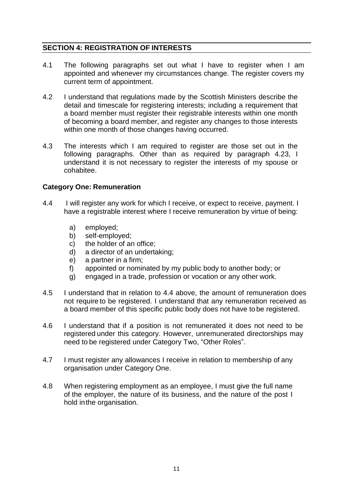# **SECTION 4: REGISTRATION OF INTERESTS**

- 4.1 The following paragraphs set out what I have to register when I am appointed and whenever my circumstances change. The register covers my current term of appointment.
- 4.2 I understand that regulations made by the Scottish Ministers describe the detail and timescale for registering interests; including a requirement that a board member must register their registrable interests within one month of becoming a board member, and register any changes to those interests within one month of those changes having occurred.
- 4.3 The interests which I am required to register are those set out in the following paragraphs. Other than as required by paragraph 4.23, I understand it is not necessary to register the interests of my spouse or cohabitee.

#### **Category One: Remuneration**

- 4.4 I will register any work for which I receive, or expect to receive, payment. I have a registrable interest where I receive remuneration by virtue of being:
	- a) employed;
	- b) self-employed;
	- c) the holder of an office;
	- d) a director of an undertaking;
	- e) a partner in a firm;
	- f) appointed or nominated by my public body to another body; or
	- g) engaged in a trade, profession or vocation or any other work.
- 4.5 I understand that in relation to 4.4 above, the amount of remuneration does not require to be registered. I understand that any remuneration received as a board member of this specific public body does not have to be registered.
- 4.6 I understand that if a position is not remunerated it does not need to be registered under this category. However, unremunerated directorships may need to be registered under Category Two, "Other Roles".
- 4.7 I must register any allowances I receive in relation to membership of any organisation under Category One.
- 4.8 When registering employment as an employee, I must give the full name of the employer, the nature of its business, and the nature of the post I hold inthe organisation.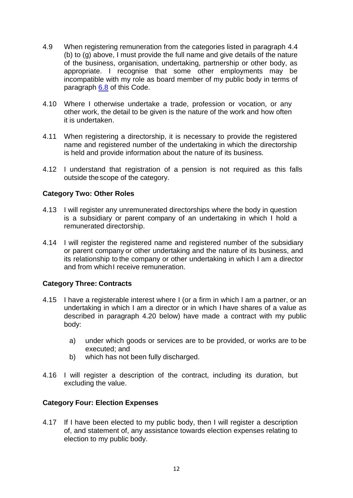- 4.9 When registering remuneration from the categories listed in paragraph 4.4 (b) to (g) above, I must provide the full name and give details of the nature of the business, organisation, undertaking, partnership or other body, as appropriate. I recognise that some other employments may be incompatible with my role as board member of my public body in terms of paragraph [6.8](#page-16-1) of this Code.
- 4.10 Where I otherwise undertake a trade, profession or vocation, or any other work, the detail to be given is the nature of the work and how often it is undertaken.
- 4.11 When registering a directorship, it is necessary to provide the registered name and registered number of the undertaking in which the directorship is held and provide information about the nature of its business.
- 4.12 I understand that registration of a pension is not required as this falls outside thescope of the category.

# **Category Two: Other Roles**

- 4.13 I will register any unremunerated directorships where the body in question is a subsidiary or parent company of an undertaking in which I hold a remunerated directorship.
- 4.14 I will register the registered name and registered number of the subsidiary or parent company or other undertaking and the nature of its business, and its relationship to the company or other undertaking in which I am a director and from whichI receive remuneration.

## **Category Three: Contracts**

- 4.15 I have a registerable interest where I (or a firm in which I am a partner, or an undertaking in which I am a director or in which I have shares of a value as described in paragraph 4.20 below) have made a contract with my public body:
	- a) under which goods or services are to be provided, or works are to be executed; and
	- b) which has not been fully discharged.
- 4.16 I will register a description of the contract, including its duration, but excluding the value.

## **Category Four: Election Expenses**

4.17 If I have been elected to my public body, then I will register a description of, and statement of, any assistance towards election expenses relating to election to my public body.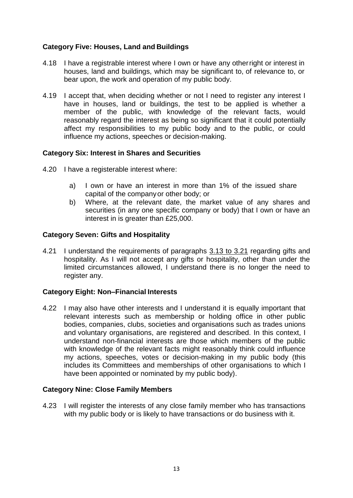# **Category Five: Houses, Land and Buildings**

- 4.18 I have a registrable interest where I own or have any otherright or interest in houses, land and buildings, which may be significant to, of relevance to, or bear upon, the work and operation of my public body.
- 4.19 I accept that, when deciding whether or not I need to register any interest I have in houses, land or buildings, the test to be applied is whether a member of the public, with knowledge of the relevant facts, would reasonably regard the interest as being so significant that it could potentially affect my responsibilities to my public body and to the public, or could influence my actions, speeches or decision-making.

# **Category Six: Interest in Shares and Securities**

- 4.20 I have a registerable interest where:
	- a) I own or have an interest in more than 1% of the issued share capital of the companyor other body; or
	- b) Where, at the relevant date, the market value of any shares and securities (in any one specific company or body) that I own or have an interest in is greater than £25,000.

# **Category Seven: Gifts and Hospitality**

4.21 I understand the requirements of paragraphs 3.13 [to 3.21](#page-7-0) regarding gifts and hospitality. As I will not accept any gifts or hospitality, other than under the limited circumstances allowed, I understand there is no longer the need to register any.

## **Category Eight: Non–Financial Interests**

4.22 I may also have other interests and I understand it is equally important that relevant interests such as membership or holding office in other public bodies, companies, clubs, societies and organisations such as trades unions and voluntary organisations, are registered and described. In this context, I understand non-financial interests are those which members of the public with knowledge of the relevant facts might reasonably think could influence my actions, speeches, votes or decision-making in my public body (this includes its Committees and memberships of other organisations to which I have been appointed or nominated by my public body).

## **Category Nine: Close Family Members**

4.23 I will register the interests of any close family member who has transactions with my public body or is likely to have transactions or do business with it.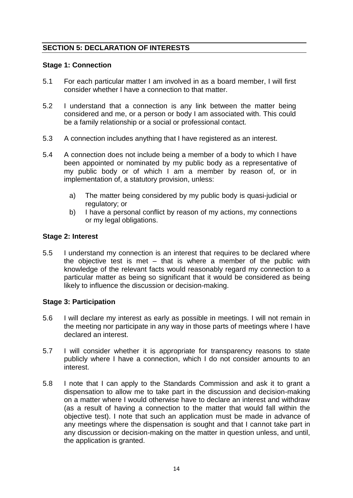# **SECTION 5: DECLARATION OF INTERESTS**

## <span id="page-13-0"></span>**Stage 1: Connection**

- 5.1 For each particular matter I am involved in as a board member, I will first consider whether I have a connection to that matter.
- 5.2 I understand that a connection is any link between the matter being considered and me, or a person or body I am associated with. This could be a family relationship or a social or professional contact.
- 5.3 A connection includes anything that I have registered as an interest.
- 5.4 A connection does not include being a member of a body to which I have been appointed or nominated by my public body as a representative of my public body or of which I am a member by reason of, or in implementation of, a statutory provision, unless:
	- a) The matter being considered by my public body is quasi-judicial or regulatory; or
	- b) I have a personal conflict by reason of my actions, my connections or my legal obligations.

# **Stage 2: Interest**

5.5 I understand my connection is an interest that requires to be declared where the objective test is met – that is where a member of the public with knowledge of the relevant facts would reasonably regard my connection to a particular matter as being so significant that it would be considered as being likely to influence the discussion or decision-making.

## **Stage 3: Participation**

- 5.6 I will declare my interest as early as possible in meetings. I will not remain in the meeting nor participate in any way in those parts of meetings where I have declared an interest.
- 5.7 I will consider whether it is appropriate for transparency reasons to state publicly where I have a connection, which I do not consider amounts to an interest.
- 5.8 I note that I can apply to the Standards Commission and ask it to grant a dispensation to allow me to take part in the discussion and decision-making on a matter where I would otherwise have to declare an interest and withdraw (as a result of having a connection to the matter that would fall within the objective test). I note that such an application must be made in advance of any meetings where the dispensation is sought and that I cannot take part in any discussion or decision-making on the matter in question unless, and until, the application is granted.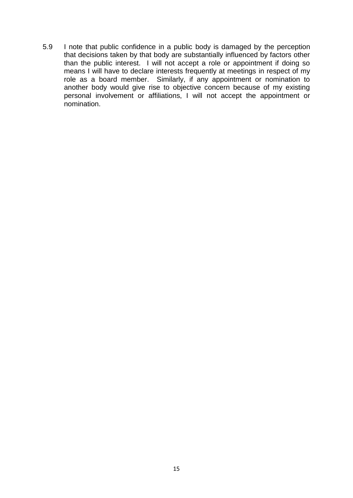5.9 I note that public confidence in a public body is damaged by the perception that decisions taken by that body are substantially influenced by factors other than the public interest. I will not accept a role or appointment if doing so means I will have to declare interests frequently at meetings in respect of my role as a board member. Similarly, if any appointment or nomination to another body would give rise to objective concern because of my existing personal involvement or affiliations, I will not accept the appointment or nomination.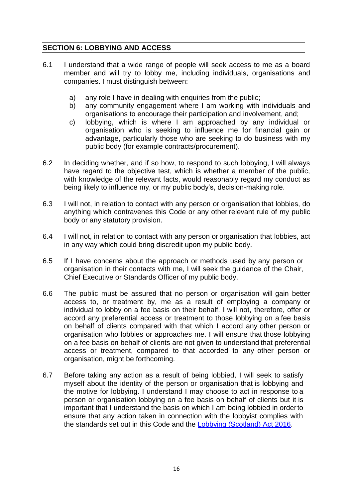# **SECTION 6: LOBBYING AND ACCESS**

- 6.1 I understand that a wide range of people will seek access to me as a board member and will try to lobby me, including individuals, organisations and companies. I must distinguish between:
	- a) any role I have in dealing with enquiries from the public;
	- b) any community engagement where I am working with individuals and organisations to encourage their participation and involvement, and;
	- c) lobbying, which is where I am approached by any individual or organisation who is seeking to influence me for financial gain or advantage, particularly those who are seeking to do business with my public body (for example contracts/procurement).
- 6.2 In deciding whether, and if so how, to respond to such lobbying, I will always have regard to the objective test, which is whether a member of the public, with knowledge of the relevant facts, would reasonably regard my conduct as being likely to influence my, or my public body's, decision-making role.
- 6.3 I will not, in relation to contact with any person or organisation that lobbies, do anything which contravenes this Code or any other relevant rule of my public body or any statutory provision.
- 6.4 I will not, in relation to contact with any person or organisation that lobbies, act in any way which could bring discredit upon my public body.
- 6.5 If I have concerns about the approach or methods used by any person or organisation in their contacts with me, I will seek the guidance of the Chair, Chief Executive or Standards Officer of my public body.
- 6.6 The public must be assured that no person or organisation will gain better access to, or treatment by, me as a result of employing a company or individual to lobby on a fee basis on their behalf. I will not, therefore, offer or accord any preferential access or treatment to those lobbying on a fee basis on behalf of clients compared with that which I accord any other person or organisation who lobbies or approaches me. I will ensure that those lobbying on a fee basis on behalf of clients are not given to understand that preferential access or treatment, compared to that accorded to any other person or organisation, might be forthcoming.
- 6.7 Before taking any action as a result of being lobbied, I will seek to satisfy myself about the identity of the person or organisation that is lobbying and the motive for lobbying. I understand I may choose to act in response to a person or organisation lobbying on a fee basis on behalf of clients but it is important that I understand the basis on which I am being lobbied in orderto ensure that any action taken in connection with the lobbyist complies with the standards set out in this Code and the [Lobbying \(Scotland\) Act 2016.](https://www.legislation.gov.uk/asp/2016/16/contents)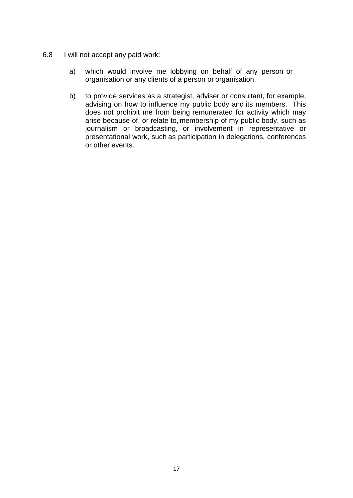- <span id="page-16-1"></span><span id="page-16-0"></span>6.8 I will not accept any paid work:
	- a) which would involve me lobbying on behalf of any person or organisation or any clients of a person or organisation.
	- b) to provide services as a strategist, adviser or consultant, for example, advising on how to influence my public body and its members. This does not prohibit me from being remunerated for activity which may arise because of, or relate to, membership of my public body, such as journalism or broadcasting, or involvement in representative or presentational work, such as participation in delegations, conferences or other events.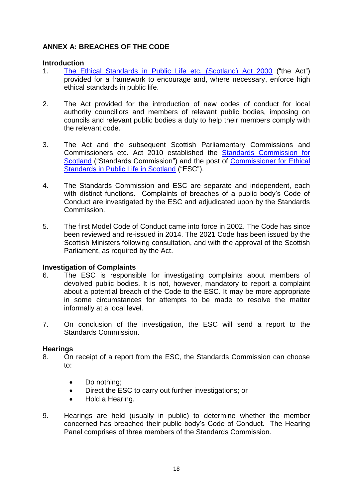# **ANNEX A: BREACHES OF THE CODE**

#### **Introduction**

- 1. [The Ethical Standards in Public Life etc. \(Scotland\) Act 2000](http://www.legislation.gov.uk/asp/2000/7/contents) ("the Act") provided for a framework to encourage and, where necessary, enforce high ethical standards in public life.
- 2. The Act provided for the introduction of new codes of conduct for local authority councillors and members of relevant public bodies, imposing on councils and relevant public bodies a duty to help their members comply with the relevant code.
- 3. The Act and the subsequent Scottish Parliamentary Commissions and Commissioners etc. Act 2010 established the [Standards Commission for](https://www.standardscommissionscotland.org.uk/)  [Scotland](https://www.standardscommissionscotland.org.uk/) ("Standards Commission") and the post of [Commissioner for Ethical](https://www.ethicalstandards.org.uk/)  [Standards in Public Life in Scotland](https://www.ethicalstandards.org.uk/) ("ESC").
- 4. The Standards Commission and ESC are separate and independent, each with distinct functions. Complaints of breaches of a public body's Code of Conduct are investigated by the ESC and adjudicated upon by the Standards Commission.
- 5. The first Model Code of Conduct came into force in 2002. The Code has since been reviewed and re-issued in 2014. The 2021 Code has been issued by the Scottish Ministers following consultation, and with the approval of the Scottish Parliament, as required by the Act.

## **Investigation of Complaints**

- 6. The ESC is responsible for investigating complaints about members of devolved public bodies. It is not, however, mandatory to report a complaint about a potential breach of the Code to the ESC. It may be more appropriate in some circumstances for attempts to be made to resolve the matter informally at a local level.
- 7. On conclusion of the investigation, the ESC will send a report to the Standards Commission.

## **Hearings**

- 8. On receipt of a report from the ESC, the Standards Commission can choose to:
	- Do nothing;
	- Direct the ESC to carry out further investigations; or
	- Hold a Hearing.
- 9. Hearings are held (usually in public) to determine whether the member concerned has breached their public body's Code of Conduct. The Hearing Panel comprises of three members of the Standards Commission.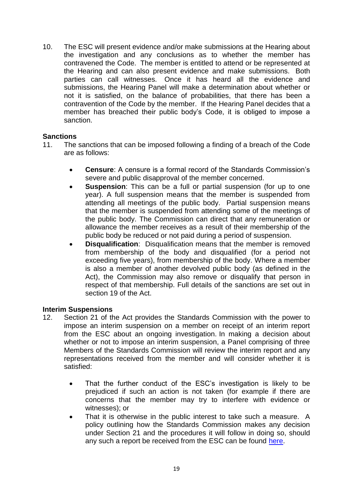10. The ESC will present evidence and/or make submissions at the Hearing about the investigation and any conclusions as to whether the member has contravened the Code. The member is entitled to attend or be represented at the Hearing and can also present evidence and make submissions. Both parties can call witnesses. Once it has heard all the evidence and submissions, the Hearing Panel will make a determination about whether or not it is satisfied, on the balance of probabilities, that there has been a contravention of the Code by the member. If the Hearing Panel decides that a member has breached their public body's Code, it is obliged to impose a sanction.

# **Sanctions**

- 11. The sanctions that can be imposed following a finding of a breach of the Code are as follows:
	- **Censure**: A censure is a formal record of the Standards Commission's severe and public disapproval of the member concerned.
	- **Suspension**: This can be a full or partial suspension (for up to one year). A full suspension means that the member is suspended from attending all meetings of the public body. Partial suspension means that the member is suspended from attending some of the meetings of the public body. The Commission can direct that any remuneration or allowance the member receives as a result of their membership of the public body be reduced or not paid during a period of suspension.
	- **Disqualification:** Disqualification means that the member is removed from membership of the body and disqualified (for a period not exceeding five years), from membership of the body. Where a member is also a member of another devolved public body (as defined in the Act), the Commission may also remove or disqualify that person in respect of that membership. Full details of the sanctions are set out in section 19 of the Act.

## **Interim Suspensions**

- 12. Section 21 of the Act provides the Standards Commission with the power to impose an interim suspension on a member on receipt of an interim report from the ESC about an ongoing investigation. In making a decision about whether or not to impose an interim suspension, a Panel comprising of three Members of the Standards Commission will review the interim report and any representations received from the member and will consider whether it is satisfied:
	- That the further conduct of the ESC's investigation is likely to be prejudiced if such an action is not taken (for example if there are concerns that the member may try to interfere with evidence or witnesses); or
	- That it is otherwise in the public interest to take such a measure. A policy outlining how the Standards Commission makes any decision under Section 21 and the procedures it will follow in doing so, should any such a report be received from the ESC can be found [here.](https://www.standardscommissionscotland.org.uk/cases)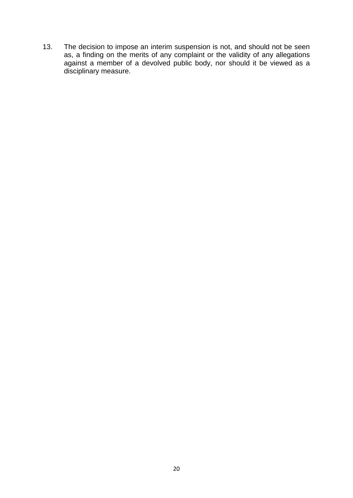13. The decision to impose an interim suspension is not, and should not be seen as, a finding on the merits of any complaint or the validity of any allegations against a member of a devolved public body, nor should it be viewed as a disciplinary measure.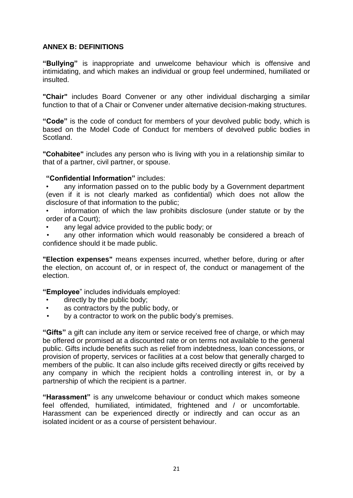# **ANNEX B: DEFINITIONS**

**"Bullying"** is inappropriate and unwelcome behaviour which is offensive and intimidating, and which makes an individual or group feel undermined, humiliated or insulted.

**"Chair"** includes Board Convener or any other individual discharging a similar function to that of a Chair or Convener under alternative decision-making structures.

**"Code"** is the code of conduct for members of your devolved public body, which is based on the Model Code of Conduct for members of devolved public bodies in Scotland.

**"Cohabitee"** includes any person who is living with you in a relationship similar to that of a partner, civil partner, or spouse.

#### **"Confidential Information"** includes:

• any information passed on to the public body by a Government department (even if it is not clearly marked as confidential) which does not allow the disclosure of that information to the public;

- information of which the law prohibits disclosure (under statute or by the order of a Court);
- any legal advice provided to the public body; or

any other information which would reasonably be considered a breach of confidence should it be made public.

**"Election expenses"** means expenses incurred, whether before, during or after the election, on account of, or in respect of, the conduct or management of the election.

**"Employee**" includes individuals employed:

- directly by the public body;
- as contractors by the public body, or
- by a contractor to work on the public body's premises.

**"Gifts"** a gift can include any item or service received free of charge, or which may be offered or promised at a discounted rate or on terms not available to the general public. Gifts include benefits such as relief from indebtedness, loan concessions, or provision of property, services or facilities at a cost below that generally charged to members of the public. It can also include gifts received directly or gifts received by any company in which the recipient holds a controlling interest in, or by a partnership of which the recipient is a partner.

**"Harassment"** is any unwelcome behaviour or conduct which makes someone feel offended, humiliated, intimidated, frightened and / or uncomfortable. Harassment can be experienced directly or indirectly and can occur as an isolated incident or as a course of persistent behaviour.